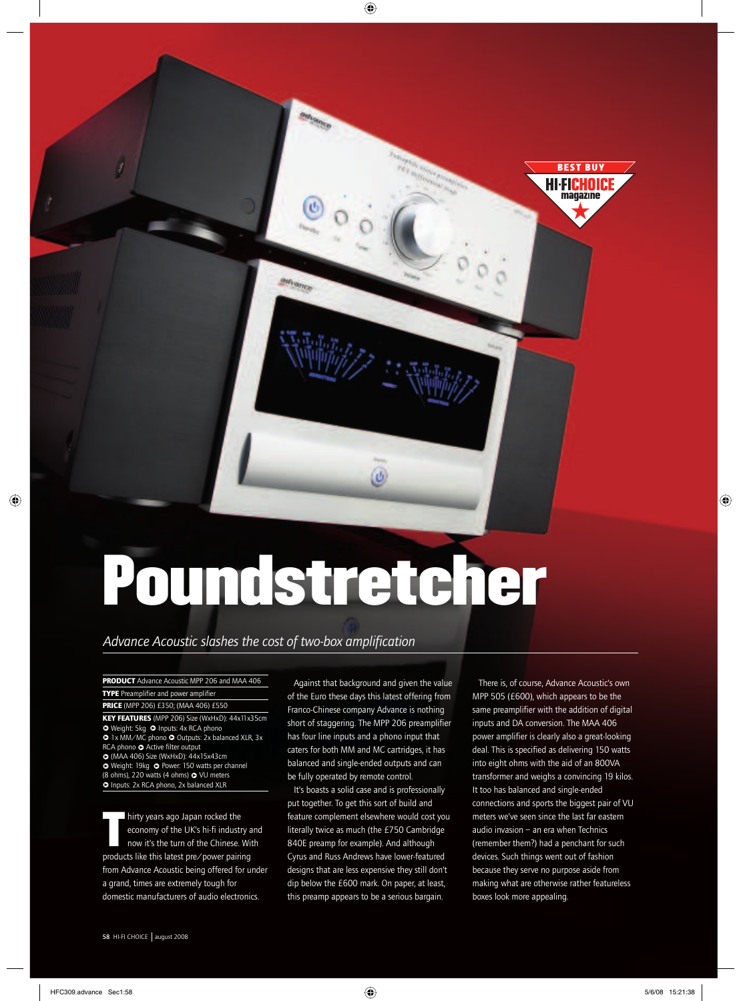# Poundstretcher

Θ

am<sub>ance</sub>

*Advance Acoustic slashes the cost of two-box amplification*

**PRODUCT** Advance Acoustic MPP 206 and MAA 406 **TYPE** Preamplifier and power amplifier **PRICE** (MPP 206) £350; (MAA 406) £550

**KEY FEATURES** (MPP 206) Size (WxHxD): 44x11x35cm O Weight: 5kg O Inputs: 4x RCA phono **●** 1x MM/MC phono ● Outputs: 2x balanced XLR, 3x RCA phono  $\bullet$  Active filter output P (MAA 406) Size (WxHxD): 44x15x43cm

● Weight: 19kg ● Power: 150 watts per channel (8 ohms), 220 watts (4 ohms)  $\bullet$  VU meters **P** Inputs: 2x RCA phono, 2x balanced XLR

T hirty years ago Japan rocked the economy of the UK's hi-fi industry and now it's the turn of the Chinese. With products like this latest pre/power pairing from Advance Acoustic being offered for under a grand, times are extremely tough for domestic manufacturers of audio electronics.

Against that background and given the value of the Euro these days this latest offering from Franco-Chinese company Advance is nothing short of staggering. The MPP 206 preamplifier has four line inputs and a phono input that caters for both MM and MC cartridges, it has balanced and single-ended outputs and can be fully operated by remote control.

 $^\circledR$ 

 $\bigoplus$ 

It's boasts a solid case and is professionally put together. To get this sort of build and feature complement elsewhere would cost you literally twice as much (the £750 Cambridge 840E preamp for example). And although Cyrus and Russ Andrews have lower-featured designs that are less expensive they still don't dip below the £600 mark. On paper, at least, this preamp appears to be a serious bargain.

There is, of course, Advance Acoustic's own MPP 505 (£600), which appears to be the same preamplifier with the addition of digital inputs and DA conversion. The MAA 406 power amplifier is clearly also a great-looking deal. This is specified as delivering 150 watts into eight ohms with the aid of an 800VA transformer and weighs a convincing 19 kilos. It too has balanced and single-ended connections and sports the biggest pair of VU meters we've seen since the last far eastern audio invasion – an era when Technics (remember them?) had a penchant for such devices. Such things went out of fashion because they serve no purpose aside from making what are otherwise rather featureless boxes look more appealing.

**BEST BUY** HI FICHOICI magazine

⊕